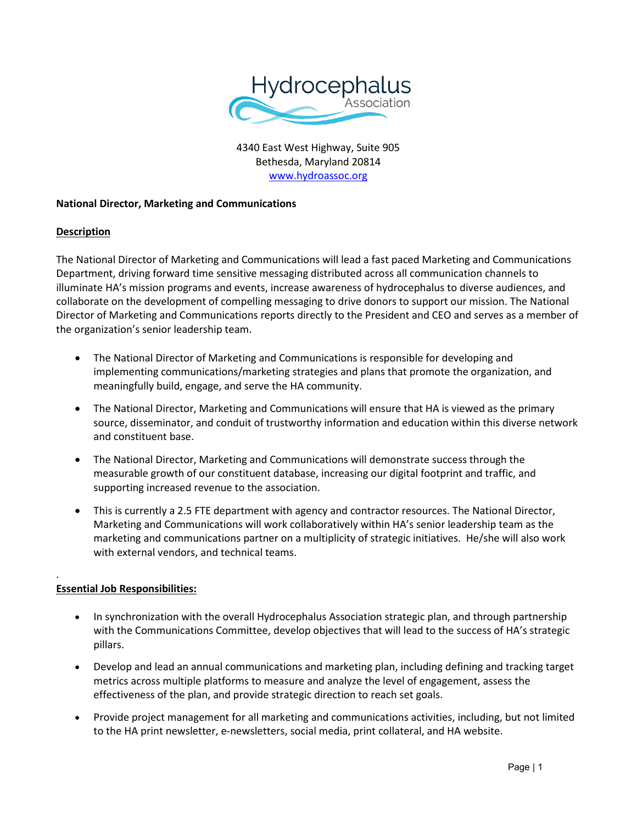

4340 East West Highway, Suite 905 Bethesda, Maryland 20814 [www.hydroassoc.org](http://www.hydroassoc.org/)

## **National Director, Marketing and Communications**

#### **Description**

The National Director of Marketing and Communications will lead a fast paced Marketing and Communications Department, driving forward time sensitive messaging distributed across all communication channels to illuminate HA's mission programs and events, increase awareness of hydrocephalus to diverse audiences, and collaborate on the development of compelling messaging to drive donors to support our mission. The National Director of Marketing and Communications reports directly to the President and CEO and serves as a member of the organization's senior leadership team.

- The National Director of Marketing and Communications is responsible for developing and implementing communications/marketing strategies and plans that promote the organization, and meaningfully build, engage, and serve the HA community.
- The National Director, Marketing and Communications will ensure that HA is viewed as the primary source, disseminator, and conduit of trustworthy information and education within this diverse network and constituent base.
- The National Director, Marketing and Communications will demonstrate success through the measurable growth of our constituent database, increasing our digital footprint and traffic, and supporting increased revenue to the association.
- This is currently a 2.5 FTE department with agency and contractor resources. The National Director, Marketing and Communications will work collaboratively within HA's senior leadership team as the marketing and communications partner on a multiplicity of strategic initiatives. He/she will also work with external vendors, and technical teams.

# **Essential Job Responsibilities:**

.

- In synchronization with the overall Hydrocephalus Association strategic plan, and through partnership with the Communications Committee, develop objectives that will lead to the success of HA's strategic pillars.
- Develop and lead an annual communications and marketing plan, including defining and tracking target metrics across multiple platforms to measure and analyze the level of engagement, assess the effectiveness of the plan, and provide strategic direction to reach set goals.
- Provide project management for all marketing and communications activities, including, but not limited to the HA print newsletter, e-newsletters, social media, print collateral, and HA website.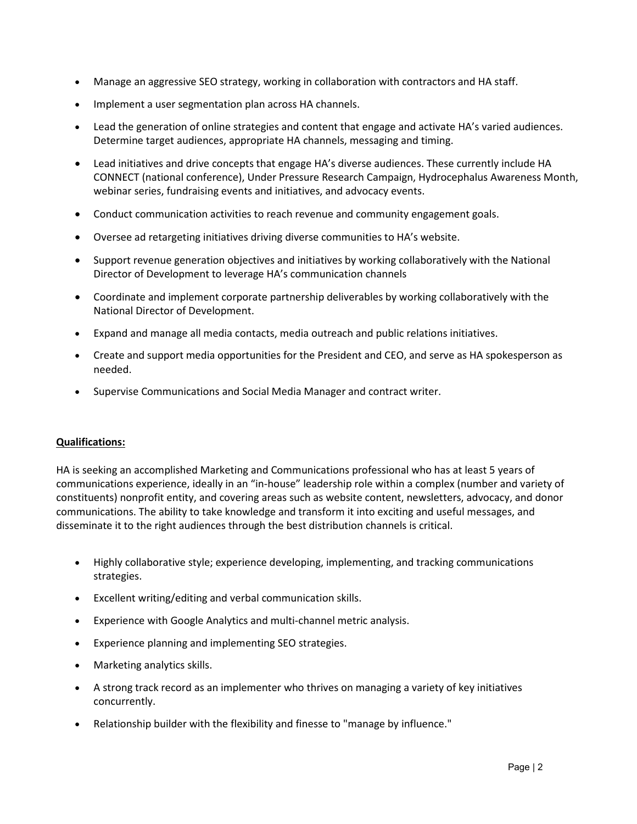- Manage an aggressive SEO strategy, working in collaboration with contractors and HA staff.
- Implement a user segmentation plan across HA channels.
- Lead the generation of online strategies and content that engage and activate HA's varied audiences. Determine target audiences, appropriate HA channels, messaging and timing.
- Lead initiatives and drive concepts that engage HA's diverse audiences. These currently include HA CONNECT (national conference), Under Pressure Research Campaign, Hydrocephalus Awareness Month, webinar series, fundraising events and initiatives, and advocacy events.
- Conduct communication activities to reach revenue and community engagement goals.
- Oversee ad retargeting initiatives driving diverse communities to HA's website.
- Support revenue generation objectives and initiatives by working collaboratively with the National Director of Development to leverage HA's communication channels
- Coordinate and implement corporate partnership deliverables by working collaboratively with the National Director of Development.
- Expand and manage all media contacts, media outreach and public relations initiatives.
- Create and support media opportunities for the President and CEO, and serve as HA spokesperson as needed.
- Supervise Communications and Social Media Manager and contract writer.

## **Qualifications:**

HA is seeking an accomplished Marketing and Communications professional who has at least 5 years of communications experience, ideally in an "in-house" leadership role within a complex (number and variety of constituents) nonprofit entity, and covering areas such as website content, newsletters, advocacy, and donor communications. The ability to take knowledge and transform it into exciting and useful messages, and disseminate it to the right audiences through the best distribution channels is critical.

- Highly collaborative style; experience developing, implementing, and tracking communications strategies.
- Excellent writing/editing and verbal communication skills.
- Experience with Google Analytics and multi-channel metric analysis.
- Experience planning and implementing SEO strategies.
- Marketing analytics skills.
- A strong track record as an implementer who thrives on managing a variety of key initiatives concurrently.
- Relationship builder with the flexibility and finesse to "manage by influence."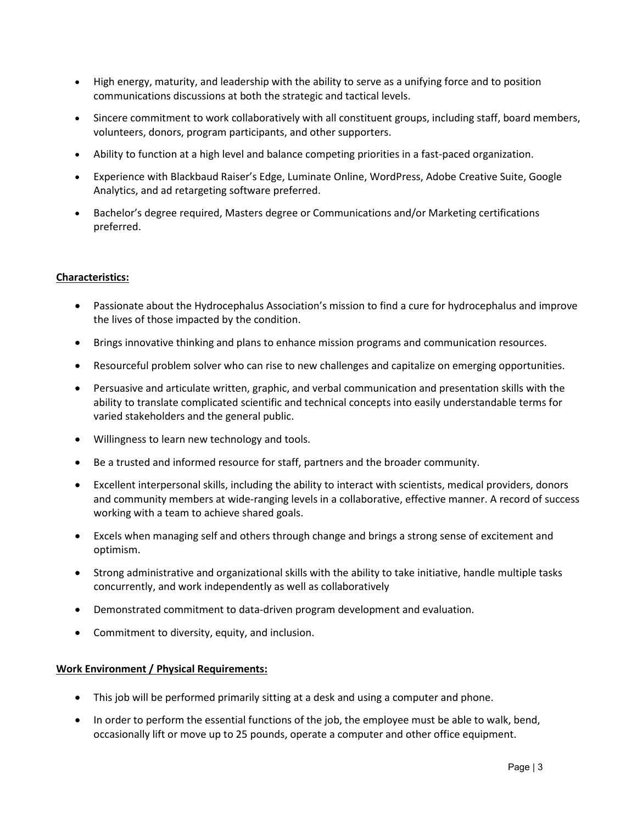- High energy, maturity, and leadership with the ability to serve as a unifying force and to position communications discussions at both the strategic and tactical levels.
- Sincere commitment to work collaboratively with all constituent groups, including staff, board members, volunteers, donors, program participants, and other supporters.
- Ability to function at a high level and balance competing priorities in a fast-paced organization.
- Experience with Blackbaud Raiser's Edge, Luminate Online, WordPress, Adobe Creative Suite, Google Analytics, and ad retargeting software preferred.
- Bachelor's degree required, Masters degree or Communications and/or Marketing certifications preferred.

## **Characteristics:**

- Passionate about the Hydrocephalus Association's mission to find a cure for hydrocephalus and improve the lives of those impacted by the condition.
- Brings innovative thinking and plans to enhance mission programs and communication resources.
- Resourceful problem solver who can rise to new challenges and capitalize on emerging opportunities.
- Persuasive and articulate written, graphic, and verbal communication and presentation skills with the ability to translate complicated scientific and technical concepts into easily understandable terms for varied stakeholders and the general public.
- Willingness to learn new technology and tools.
- Be a trusted and informed resource for staff, partners and the broader community.
- Excellent interpersonal skills, including the ability to interact with scientists, medical providers, donors and community members at wide-ranging levels in a collaborative, effective manner. A record of success working with a team to achieve shared goals.
- Excels when managing self and others through change and brings a strong sense of excitement and optimism.
- Strong administrative and organizational skills with the ability to take initiative, handle multiple tasks concurrently, and work independently as well as collaboratively
- Demonstrated commitment to data-driven program development and evaluation.
- Commitment to diversity, equity, and inclusion.

#### **Work Environment / Physical Requirements:**

- This job will be performed primarily sitting at a desk and using a computer and phone.
- In order to perform the essential functions of the job, the employee must be able to walk, bend, occasionally lift or move up to 25 pounds, operate a computer and other office equipment.